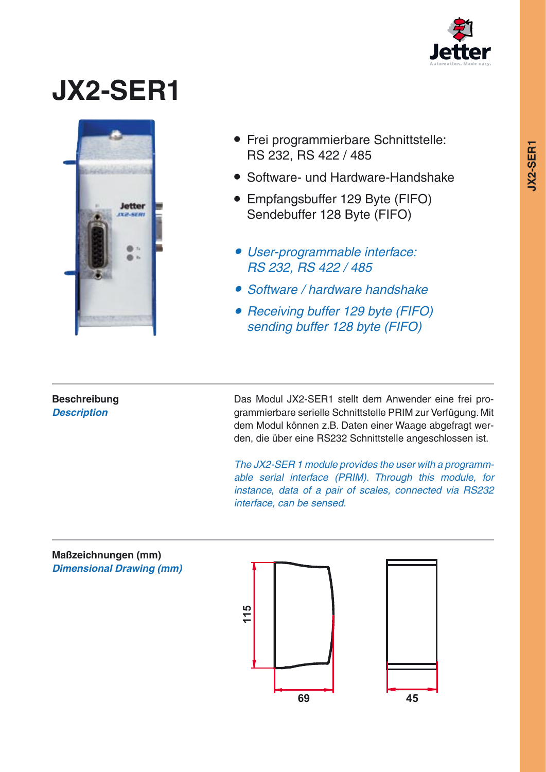

## **JX2-SER1**



- Frei programmierbare Schnittstelle: RS 232, RS 422 / 485
- Software- und Hardware-Handshake
- Empfangsbuffer 129 Byte (FIFO) Sendebuffer 128 Byte (FIFO)
- User-programmable interface: RS 232, RS 422 / 485
- Software / hardware handshake
- Receiving buffer 129 byte (FIFO) sending buffer 128 byte (FIFO)

## **Beschreibung Description**

Das Modul JX2-SER1 stellt dem Anwender eine frei programmierbare serielle Schnittstelle PRIM zur Verfügung. Mit dem Modul können z.B. Daten einer Waage abgefragt werden, die über eine RS232 Schnittstelle angeschlossen ist.

The JX2-SER 1 module provides the user with a programmable serial interface (PRIM). Through this module, for instance, data of a pair of scales, connected via RS232 interface, can be sensed.